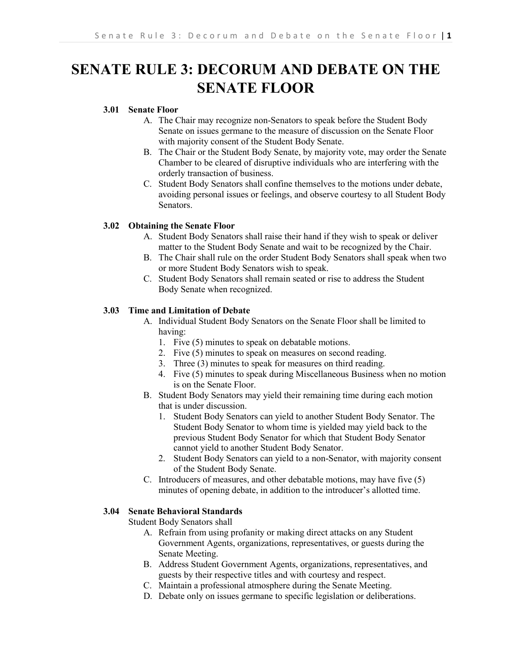# **SENATE RULE 3: DECORUM AND DEBATE ON THE SENATE FLOOR**

# **3.01 Senate Floor**

- A. The Chair may recognize non-Senators to speak before the Student Body Senate on issues germane to the measure of discussion on the Senate Floor with majority consent of the Student Body Senate.
- B. The Chair or the Student Body Senate, by majority vote, may order the Senate Chamber to be cleared of disruptive individuals who are interfering with the orderly transaction of business.
- C. Student Body Senators shall confine themselves to the motions under debate, avoiding personal issues or feelings, and observe courtesy to all Student Body Senators.

## **3.02 Obtaining the Senate Floor**

- A. Student Body Senators shall raise their hand if they wish to speak or deliver matter to the Student Body Senate and wait to be recognized by the Chair.
- B. The Chair shall rule on the order Student Body Senators shall speak when two or more Student Body Senators wish to speak.
- C. Student Body Senators shall remain seated or rise to address the Student Body Senate when recognized.

## **3.03 Time and Limitation of Debate**

- A. Individual Student Body Senators on the Senate Floor shall be limited to having:
	- 1. Five (5) minutes to speak on debatable motions.
	- 2. Five (5) minutes to speak on measures on second reading.
	- 3. Three (3) minutes to speak for measures on third reading.
	- 4. Five (5) minutes to speak during Miscellaneous Business when no motion is on the Senate Floor.
- B. Student Body Senators may yield their remaining time during each motion that is under discussion.
	- 1. Student Body Senators can yield to another Student Body Senator. The Student Body Senator to whom time is yielded may yield back to the previous Student Body Senator for which that Student Body Senator cannot yield to another Student Body Senator.
	- 2. Student Body Senators can yield to a non-Senator, with majority consent of the Student Body Senate.
- C. Introducers of measures, and other debatable motions, may have five (5) minutes of opening debate, in addition to the introducer's allotted time.

## **3.04 Senate Behavioral Standards**

Student Body Senators shall

- A. Refrain from using profanity or making direct attacks on any Student Government Agents, organizations, representatives, or guests during the Senate Meeting.
- B. Address Student Government Agents, organizations, representatives, and guests by their respective titles and with courtesy and respect.
- C. Maintain a professional atmosphere during the Senate Meeting.
- D. Debate only on issues germane to specific legislation or deliberations.